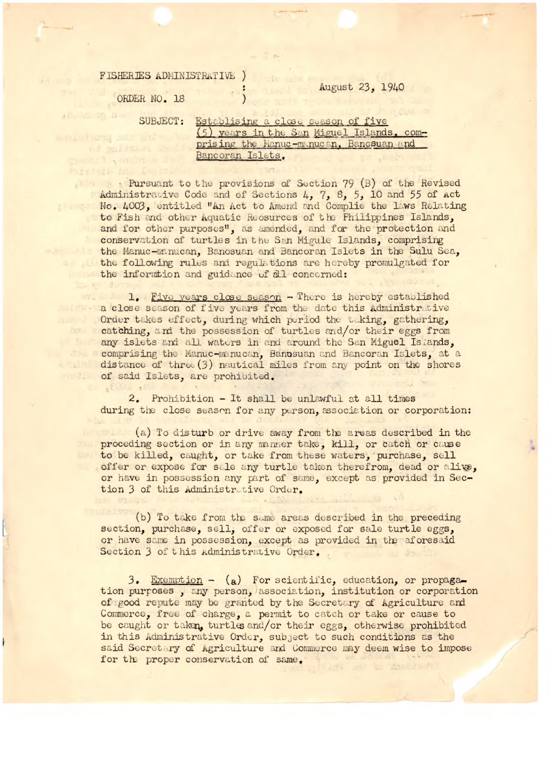## **FISHERIES ADMINISTRATIVE )**

## $\frac{1}{2}$  August 23, 1940

ORDER NO. 18

SUBJECT: Establising a close season of five (5) years in the San Miguel Islands, comprising the Manuc-manucan, Bancsuan and Bancoran Islets. angli a smoler u dell'

Pursuant to the provisions of Section 79 (B) of the Revised Administrative Code and of Sections 4, 7, 8, 5, 10 and 55 of Act No. 4003, entitled "An Act to Amend and Complie the laws Relating to Fish and other Aquatic Reosurces of the Philippines Islands, and for other purposes", as amended, and for the protection and conservation of turtles in the San Migule Islands, comprising the Manuc-manucan, Banosuan and Bancoran Islets in the Sulu Sea, the following rules and regulations are hereby promulgated for the information and guidance of all concerned:

1. Five years close season - There is hereby established a close season of five years from the date this Administrative Order takes effect, during which period the taking, gathering, catching, and the possession of turtles and/or their eggs from any islets and all waters in and around the San Miguel Islands, do comprising the Manuc-manucan, Banusuan and Bancoran Islets, at a distance of three  $(3)$  nautical miles from any point on the shores of said Islets, are prohibited.

> 2. Prohibition - It shall be unlawful at all times during the close season for any person, association or corporation:

(a) To disturb or drive away from the areas described in the proceding section or in any manner take, kill, or catch or cause to be killed, caught, or take from these waters, purchase, sell offer or expose for sale any turtle taken therefrom, dead or alive, or have in possession any part of same, except as provided in Section 3 of this Administrative Order.

(b) To take from the same areas described in the preceding section, purchase, sell, offer or exposed for sale turtle eggs, or have same in possession, except as provided in the aforesaid Section 3 of this Administrative Order.

3. Exemption - (a) For scientific, education, or propagation purposes, any person, association, institution or corporation of good repute may be granted by the Secretary of Agriculture and Commerce, free of charge, a permit to catch or take or cause to be caught or taken, turtles and/or their eggs, otherwise prohibited in this Administrative Order, subject to such conditions as the said Secretary of Agriculture and Commerce may deem wise to impose for the proper conservation of same.